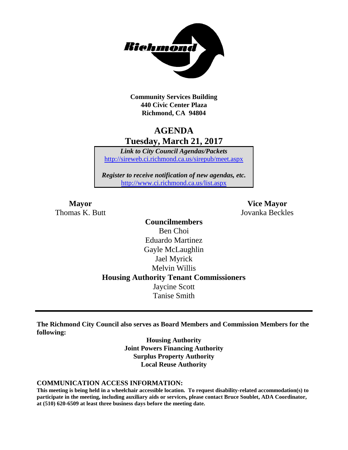

**Community Services Building 440 Civic Center Plaza Richmond, CA 94804**

# **AGENDA Tuesday, March 21, 2017**

*Link to City Council Agendas/Packets* <http://sireweb.ci.richmond.ca.us/sirepub/meet.aspx>

*Register to receive notification of new agendas, etc.* <http://www.ci.richmond.ca.us/list.aspx>

**Mayor Vice Mayor** Thomas K. Butt Jovanka Beckles

> **Councilmembers** Ben Choi Eduardo Martinez Gayle McLaughlin Jael Myrick Melvin Willis **Housing Authority Tenant Commissioners** Jaycine Scott Tanise Smith

**The Richmond City Council also serves as Board Members and Commission Members for the following:**

> **Housing Authority Joint Powers Financing Authority Surplus Property Authority Local Reuse Authority**

#### **COMMUNICATION ACCESS INFORMATION:**

**This meeting is being held in a wheelchair accessible location. To request disability-related accommodation(s) to participate in the meeting, including auxiliary aids or services, please contact Bruce Soublet, ADA Coordinator, at (510) 620-6509 at least three business days before the meeting date.**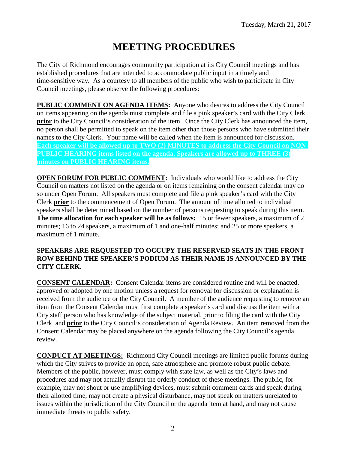# **MEETING PROCEDURES**

The City of Richmond encourages community participation at its City Council meetings and has established procedures that are intended to accommodate public input in a timely and time-sensitive way. As a courtesy to all members of the public who wish to participate in City Council meetings, please observe the following procedures:

**PUBLIC COMMENT ON AGENDA ITEMS:** Anyone who desires to address the City Council on items appearing on the agenda must complete and file a pink speaker's card with the City Clerk **prior** to the City Council's consideration of the item. Once the City Clerk has announced the item, no person shall be permitted to speak on the item other than those persons who have submitted their names to the City Clerk. Your name will be called when the item is announced for discussion. **Each speaker will be allowed up to TWO (2) MINUTES to address the City Council on NON-PUBLIC HEARING items listed on the agenda. Speakers are allowed up to THREE (3) minutes on PUBLIC HEARING items.**

**OPEN FORUM FOR PUBLIC COMMENT:** Individuals who would like to address the City Council on matters not listed on the agenda or on items remaining on the consent calendar may do so under Open Forum. All speakers must complete and file a pink speaker's card with the City Clerk **prior** to the commencement of Open Forum. The amount of time allotted to individual speakers shall be determined based on the number of persons requesting to speak during this item. **The time allocation for each speaker will be as follows:** 15 or fewer speakers, a maximum of 2 minutes; 16 to 24 speakers, a maximum of 1 and one-half minutes; and 25 or more speakers, a maximum of 1 minute.

#### **SPEAKERS ARE REQUESTED TO OCCUPY THE RESERVED SEATS IN THE FRONT ROW BEHIND THE SPEAKER'S PODIUM AS THEIR NAME IS ANNOUNCED BY THE CITY CLERK.**

**CONSENT CALENDAR:** Consent Calendar items are considered routine and will be enacted, approved or adopted by one motion unless a request for removal for discussion or explanation is received from the audience or the City Council. A member of the audience requesting to remove an item from the Consent Calendar must first complete a speaker's card and discuss the item with a City staff person who has knowledge of the subject material, prior to filing the card with the City Clerk and **prior** to the City Council's consideration of Agenda Review. An item removed from the Consent Calendar may be placed anywhere on the agenda following the City Council's agenda review.

**CONDUCT AT MEETINGS:** Richmond City Council meetings are limited public forums during which the City strives to provide an open, safe atmosphere and promote robust public debate. Members of the public, however, must comply with state law, as well as the City's laws and procedures and may not actually disrupt the orderly conduct of these meetings. The public, for example, may not shout or use amplifying devices, must submit comment cards and speak during their allotted time, may not create a physical disturbance, may not speak on matters unrelated to issues within the jurisdiction of the City Council or the agenda item at hand, and may not cause immediate threats to public safety.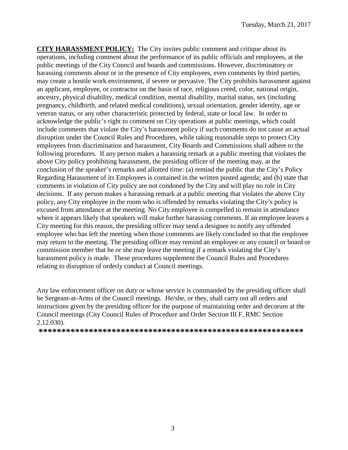**CITY HARASSMENT POLICY:** The City invites public comment and critique about its operations, including comment about the performance of its public officials and employees, at the public meetings of the City Council and boards and commissions. However, discriminatory or harassing comments about or in the presence of City employees, even comments by third parties, may create a hostile work environment, if severe or pervasive. The City prohibits harassment against an applicant, employee, or contractor on the basis of race, religious creed, color, national origin, ancestry, physical disability, medical condition, mental disability, marital status, sex (including pregnancy, childbirth, and related medical conditions), sexual orientation, gender identity, age or veteran status, or any other characteristic protected by federal, state or local law. In order to acknowledge the public's right to comment on City operations at public meetings, which could include comments that violate the City's harassment policy if such comments do not cause an actual disruption under the Council Rules and Procedures, while taking reasonable steps to protect City employees from discrimination and harassment, City Boards and Commissions shall adhere to the following procedures. If any person makes a harassing remark at a public meeting that violates the above City policy prohibiting harassment, the presiding officer of the meeting may, at the conclusion of the speaker's remarks and allotted time: (a) remind the public that the City's Policy Regarding Harassment of its Employees is contained in the written posted agenda; and (b) state that comments in violation of City policy are not condoned by the City and will play no role in City decisions. If any person makes a harassing remark at a public meeting that violates the above City policy, any City employee in the room who is offended by remarks violating the City's policy is excused from attendance at the meeting. No City employee is compelled to remain in attendance where it appears likely that speakers will make further harassing comments. If an employee leaves a City meeting for this reason, the presiding officer may send a designee to notify any offended employee who has left the meeting when those comments are likely concluded so that the employee may return to the meeting. The presiding officer may remind an employee or any council or board or commission member that he or she may leave the meeting if a remark violating the City's harassment policy is made. These procedures supplement the Council Rules and Procedures relating to disruption of orderly conduct at Council meetings.

Any law enforcement officer on duty or whose service is commanded by the presiding officer shall be Sergeant-at-Arms of the Council meetings. He/she, or they, shall carry out all orders and instructions given by the presiding officer for the purpose of maintaining order and decorum at the Council meetings (City Council Rules of Procedure and Order Section III F, RMC Section 2.12.030).

**\*\*\*\*\*\*\*\*\*\*\*\*\*\*\*\*\*\*\*\*\*\*\*\*\*\*\*\*\*\*\*\*\*\*\*\*\*\*\*\*\*\*\*\*\*\*\*\*\*\*\*\*\*\*\*\*\*\***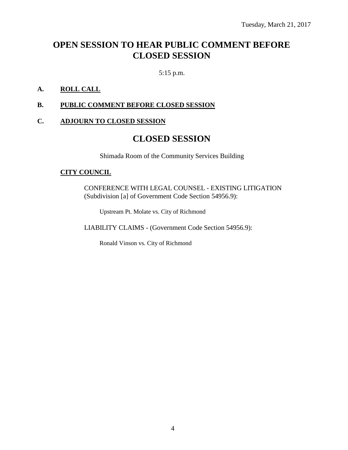# **OPEN SESSION TO HEAR PUBLIC COMMENT BEFORE CLOSED SESSION**

5:15 p.m.

#### **A. ROLL CALL**

#### **B. PUBLIC COMMENT BEFORE CLOSED SESSION**

#### **C. ADJOURN TO CLOSED SESSION**

# **CLOSED SESSION**

Shimada Room of the Community Services Building

#### **CITY COUNCIL**

CONFERENCE WITH LEGAL COUNSEL - EXISTING LITIGATION (Subdivision [a] of Government Code Section 54956.9):

Upstream Pt. Molate vs. City of Richmond

LIABILITY CLAIMS - (Government Code Section 54956.9):

Ronald Vinson vs. City of Richmond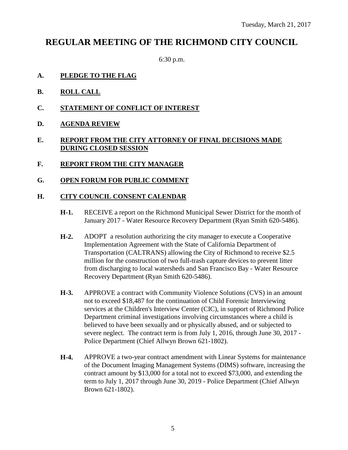# **REGULAR MEETING OF THE RICHMOND CITY COUNCIL**

6:30 p.m.

- **A. PLEDGE TO THE FLAG**
- **B. ROLL CALL**
- **C. STATEMENT OF CONFLICT OF INTEREST**
- **D. AGENDA REVIEW**

## **E. REPORT FROM THE CITY ATTORNEY OF FINAL DECISIONS MADE DURING CLOSED SESSION**

- **F. REPORT FROM THE CITY MANAGER**
- **G. OPEN FORUM FOR PUBLIC COMMENT**

### **H. CITY COUNCIL CONSENT CALENDAR**

- **H-1.** RECEIVE a report on the Richmond Municipal Sewer District for the month of January 2017 - Water Resource Recovery Department (Ryan Smith 620-5486).
- **H-2.** ADOPT a resolution authorizing the city manager to execute a Cooperative Implementation Agreement with the State of California Department of Transportation (CALTRANS) allowing the City of Richmond to receive \$2.5 million for the construction of two full-trash capture devices to prevent litter from discharging to local watersheds and San Francisco Bay - Water Resource Recovery Department (Ryan Smith 620-5486).
- **H-3.** APPROVE a contract with Community Violence Solutions (CVS) in an amount not to exceed \$18,487 for the continuation of Child Forensic Interviewing services at the Children's Interview Center (CIC), in support of Richmond Police Department criminal investigations involving circumstances where a child is believed to have been sexually and or physically abused, and or subjected to severe neglect. The contract term is from July 1, 2016, through June 30, 2017 - Police Department (Chief Allwyn Brown 621-1802).
- **H-4.** APPROVE a two-year contract amendment with Linear Systems for maintenance of the Document Imaging Management Systems (DIMS) software, increasing the contract amount by \$13,000 for a total not to exceed \$73,000, and extending the term to July 1, 2017 through June 30, 2019 - Police Department (Chief Allwyn Brown 621-1802).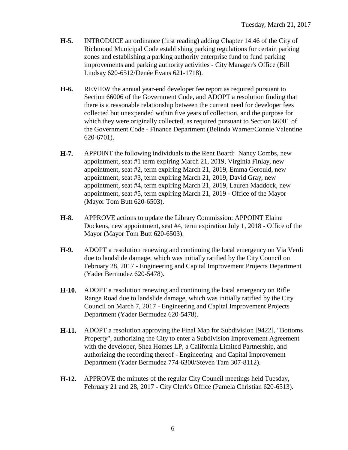- **H-5.** INTRODUCE an ordinance (first reading) adding Chapter 14.46 of the City of Richmond Municipal Code establishing parking regulations for certain parking zones and establishing a parking authority enterprise fund to fund parking improvements and parking authority activities - City Manager's Office (Bill Lindsay 620-6512/Denée Evans 621-1718).
- **H-6.** REVIEW the annual year-end developer fee report as required pursuant to Section 66006 of the Government Code, and ADOPT a resolution finding that there is a reasonable relationship between the current need for developer fees collected but unexpended within five years of collection, and the purpose for which they were originally collected, as required pursuant to Section 66001 of the Government Code - Finance Department (Belinda Warner/Connie Valentine 620-6701).
- **H-7.** APPOINT the following individuals to the Rent Board: Nancy Combs, new appointment, seat #1 term expiring March 21, 2019, Virginia Finlay, new appointment, seat #2, term expiring March 21, 2019, Emma Gerould, new appointment, seat #3, term expiring March 21, 2019, David Gray, new appointment, seat #4, term expiring March 21, 2019, Lauren Maddock, new appointment, seat #5, term expiring March 21, 2019 - Office of the Mayor (Mayor Tom Butt 620-6503).
- **H-8.** APPROVE actions to update the Library Commission: APPOINT Elaine Dockens, new appointment, seat #4, term expiration July 1, 2018 - Office of the Mayor (Mayor Tom Butt 620-6503).
- **H-9.** ADOPT a resolution renewing and continuing the local emergency on Via Verdi due to landslide damage, which was initially ratified by the City Council on February 28, 2017 - Engineering and Capital Improvement Projects Department (Yader Bermudez 620-5478).
- **H-10.** ADOPT a resolution renewing and continuing the local emergency on Rifle Range Road due to landslide damage, which was initially ratified by the City Council on March 7, 2017 - Engineering and Capital Improvement Projects Department (Yader Bermudez 620-5478).
- **H-11.** ADOPT a resolution approving the Final Map for Subdivision [9422], "Bottoms Property", authorizing the City to enter a Subdivision Improvement Agreement with the developer, Shea Homes LP, a California Limited Partnership, and authorizing the recording thereof - Engineering and Capital Improvement Department (Yader Bermudez 774-6300/Steven Tam 307-8112).
- **H-12.** APPROVE the minutes of the regular City Council meetings held Tuesday, February 21 and 28, 2017 - City Clerk's Office (Pamela Christian 620-6513).